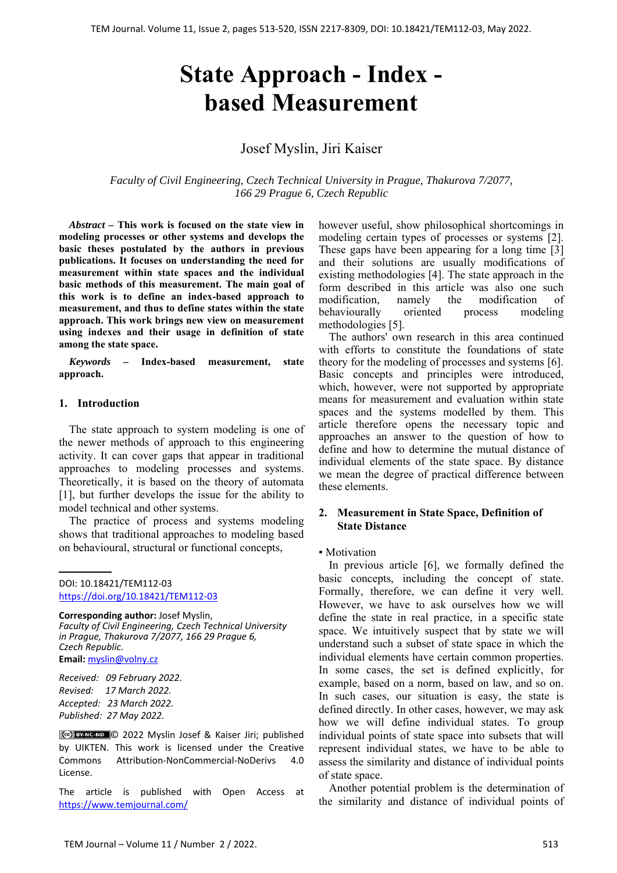# **State Approach - Index based Measurement**

## Josef Myslin, Jiri Kaiser

*Faculty of Civil Engineering, Czech Technical University in Prague, Thakurova 7/2077, 166 29 Prague 6, Czech Republic*

*Abstract –* **This work is focused on the state view in modeling processes or other systems and develops the basic theses postulated by the authors in previous publications. It focuses on understanding the need for measurement within state spaces and the individual basic methods of this measurement. The main goal of this work is to define an index-based approach to measurement, and thus to define states within the state approach. This work brings new view on measurement using indexes and their usage in definition of state among the state space.**

*Keywords –* **Index-based measurement, state approach.** 

#### **1. Introduction**

The state approach to system modeling is one of the newer methods of approach to this engineering activity. It can cover gaps that appear in traditional approaches to modeling processes and systems. Theoretically, it is based on the theory of automata [1], but further develops the issue for the ability to model technical and other systems.

The practice of process and systems modeling shows that traditional approaches to modeling based on behavioural, structural or functional concepts,

DOI: 10.18421/TEM112-03 [https://doi.org/10.18421/TEM112](https://doi.org/10.18421/TEM112-03)-03

**Corresponding author:** Josef Myslin, *Faculty of Civil Engineering, Czech Technical University in Prague, Thakurova 7/2077, 166 29 Prague 6, Czech Republic.*  **Email:** myslin@volny.cz

*Received: 09 February 2022. Revised: 17 March 2022. Accepted: 23 March 2022. Published: 27 May 2022.* 

CCO BY-NC-ND C 2022 Myslin Josef & Kaiser Jiri; published by UIKTEN. This work is licensed under the Creative Commons Attribution‐NonCommercial‐NoDerivs 4.0 License.

The article is published with Open Access at https://www.temjournal.com/

however useful, show philosophical shortcomings in modeling certain types of processes or systems [2]. These gaps have been appearing for a long time [3] and their solutions are usually modifications of existing methodologies [4]. The state approach in the form described in this article was also one such modification, namely the modification of<br>behaviourally oriented process modeling behaviourally oriented process modeling methodologies [5].

The authors' own research in this area continued with efforts to constitute the foundations of state theory for the modeling of processes and systems [6]. Basic concepts and principles were introduced, which, however, were not supported by appropriate means for measurement and evaluation within state spaces and the systems modelled by them. This article therefore opens the necessary topic and approaches an answer to the question of how to define and how to determine the mutual distance of individual elements of the state space. By distance we mean the degree of practical difference between these elements.

## **2. Measurement in State Space, Definition of State Distance**

#### • Motivation

In previous article [6], we formally defined the basic concepts, including the concept of state. Formally, therefore, we can define it very well. However, we have to ask ourselves how we will define the state in real practice, in a specific state space. We intuitively suspect that by state we will understand such a subset of state space in which the individual elements have certain common properties. In some cases, the set is defined explicitly, for example, based on a norm, based on law, and so on. In such cases, our situation is easy, the state is defined directly. In other cases, however, we may ask how we will define individual states. To group individual points of state space into subsets that will represent individual states, we have to be able to assess the similarity and distance of individual points of state space.

Another potential problem is the determination of the similarity and distance of individual points of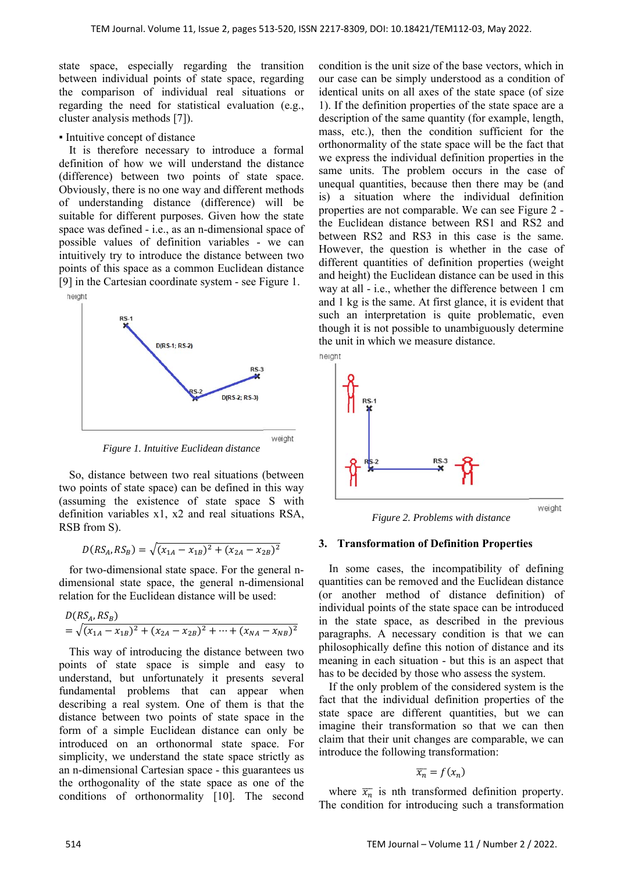state space, especially regarding the transition between individual points of state space, regarding the comparison of individual real situations or regarding the need for statistical evaluation (e.g., cluster analysis methods [7]).

#### ▪ Intuitive concept of distance

It is therefore necessary to introduce a formal definition of how we will understand the distance (difference) between two points of state space. Obviously, there is no one way and different methods of understanding distance (difference) will be suitable for different purposes. Given how the state space was defined - i.e., as an n-dimensional space of possible values of definition variables - we can intuitively try to introduce the distance between two points of this space as a common Euclidean distance [9] in the Cartesian coordinate system - see Figure 1.



*Figure 1. Intuitive Euclidean distance* 

So, distance between two real situations (between two points of state space) can be defined in this way (assuming the existence of state space S with definition variables x1, x2 and real situations RSA, RSB from S).

$$
D(RS_A, RS_B) = \sqrt{(x_{1A} - x_{1B})^2 + (x_{2A} - x_{2B})^2}
$$

for two-dimensional state space. For the general ndimensional state space, the general n-dimensional relation for the Euclidean distance will be used:

$$
D(RS_A, RS_B)
$$
  
=  $\sqrt{(x_{1A} - x_{1B})^2 + (x_{2A} - x_{2B})^2 + \dots + (x_{NA} - x_{NB})^2}$ 

This way of introducing the distance between two points of state space is simple and easy to understand, but unfortunately it presents several fundamental problems that can appear when describing a real system. One of them is that the distance between two points of state space in the form of a simple Euclidean distance can only be introduced on an orthonormal state space. For simplicity, we understand the state space strictly as an n-dimensional Cartesian space - this guarantees us the orthogonality of the state space as one of the conditions of orthonormality [10]. The second condition is the unit size of the base vectors, which in our case can be simply understood as a condition of identical units on all axes of the state space (of size 1). If the definition properties of the state space are a description of the same quantity (for example, length, mass, etc.), then the condition sufficient for the orthonormality of the state space will be the fact that we express the individual definition properties in the same units. The problem occurs in the case of unequal quantities, because then there may be (and is) a situation where the individual definition properties are not comparable. We can see Figure 2 the Euclidean distance between RS1 and RS2 and between RS2 and RS3 in this case is the same. However, the question is whether in the case of different quantities of definition properties (weight and height) the Euclidean distance can be used in this way at all - i.e., whether the difference between 1 cm and 1 kg is the same. At first glance, it is evident that such an interpretation is quite problematic, even though it is not possible to unambiguously determine the unit in which we measure distance.



*Figure 2. Problems with distance* 

#### **3. Transformation of Definition Properties**

In some cases, the incompatibility of defining quantities can be removed and the Euclidean distance (or another method of distance definition) of individual points of the state space can be introduced in the state space, as described in the previous paragraphs. A necessary condition is that we can philosophically define this notion of distance and its meaning in each situation - but this is an aspect that has to be decided by those who assess the system.

If the only problem of the considered system is the fact that the individual definition properties of the state space are different quantities, but we can imagine their transformation so that we can then claim that their unit changes are comparable, we can introduce the following transformation:

$$
\overline{x_n} = f(x_n)
$$

where  $\overline{x}_n$  is nth transformed definition property. The condition for introducing such a transformation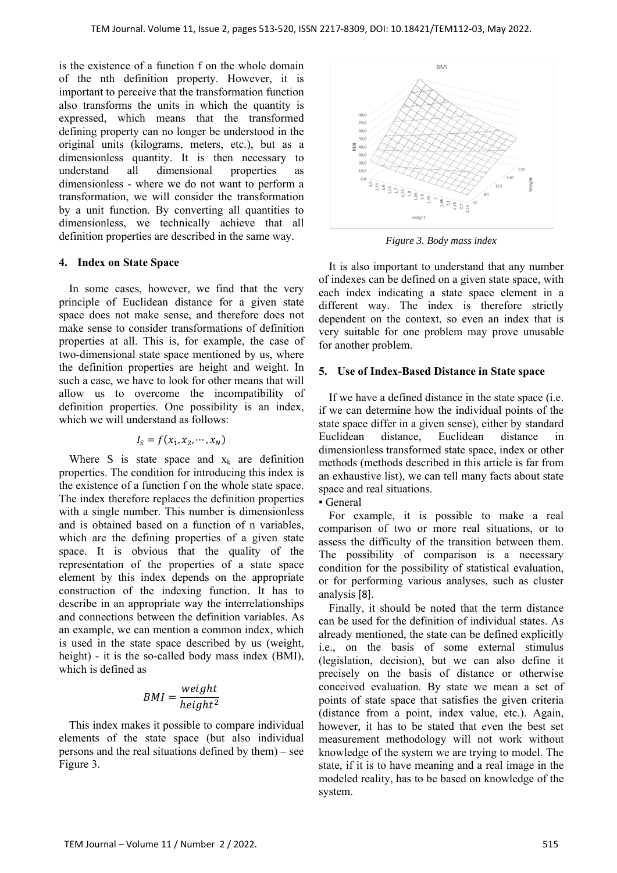is the existence of a function f on the whole domain of the nth definition property. However, it is important to perceive that the transformation function also transforms the units in which the quantity is expressed, which means that the transformed defining property can no longer be understood in the original units (kilograms, meters, etc.), but as a dimensionless quantity. It is then necessary to understand all dimensional properties as dimensionless - where we do not want to perform a transformation, we will consider the transformation by a unit function. By converting all quantities to dimensionless, we technically achieve that all definition properties are described in the same way.

#### **4. Index on State Space**

In some cases, however, we find that the very principle of Euclidean distance for a given state space does not make sense, and therefore does not make sense to consider transformations of definition properties at all. This is, for example, the case of two-dimensional state space mentioned by us, where the definition properties are height and weight. In such a case, we have to look for other means that will allow us to overcome the incompatibility of definition properties. One possibility is an index, which we will understand as follows:

$$
I_S = f(x_1, x_2, \cdots, x_N)
$$

Where S is state space and  $x_k$  are definition properties. The condition for introducing this index is the existence of a function f on the whole state space. The index therefore replaces the definition properties with a single number. This number is dimensionless and is obtained based on a function of n variables, which are the defining properties of a given state space. It is obvious that the quality of the representation of the properties of a state space element by this index depends on the appropriate construction of the indexing function. It has to describe in an appropriate way the interrelationships and connections between the definition variables. As an example, we can mention a common index, which is used in the state space described by us (weight, height) - it is the so-called body mass index (BMI), which is defined as

$$
BMI = \frac{weight}{height^2}
$$

This index makes it possible to compare individual elements of the state space (but also individual persons and the real situations defined by them) – see Figure 3.



*Figure 3. Body mass index* 

It is also important to understand that any number of indexes can be defined on a given state space, with each index indicating a state space element in a different way. The index is therefore strictly dependent on the context, so even an index that is very suitable for one problem may prove unusable for another problem.

## **5. Use of Index-Based Distance in State space**

If we have a defined distance in the state space (i.e. if we can determine how the individual points of the state space differ in a given sense), either by standard Euclidean distance, Euclidean distance in dimensionless transformed state space, index or other methods (methods described in this article is far from an exhaustive list), we can tell many facts about state space and real situations.

▪ General

For example, it is possible to make a real comparison of two or more real situations, or to assess the difficulty of the transition between them. The possibility of comparison is a necessary condition for the possibility of statistical evaluation, or for performing various analyses, such as cluster analysis [8].

Finally, it should be noted that the term distance can be used for the definition of individual states. As already mentioned, the state can be defined explicitly i.e., on the basis of some external stimulus (legislation, decision), but we can also define it precisely on the basis of distance or otherwise conceived evaluation. By state we mean a set of points of state space that satisfies the given criteria (distance from a point, index value, etc.). Again, however, it has to be stated that even the best set measurement methodology will not work without knowledge of the system we are trying to model. The state, if it is to have meaning and a real image in the modeled reality, has to be based on knowledge of the system.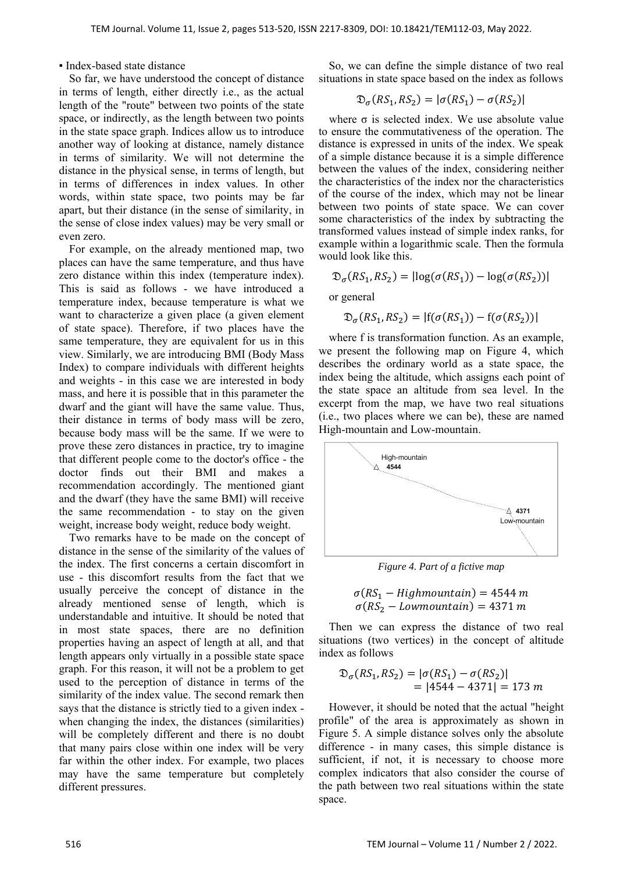#### ▪ Index-based state distance

So far, we have understood the concept of distance in terms of length, either directly i.e., as the actual length of the "route" between two points of the state space, or indirectly, as the length between two points in the state space graph. Indices allow us to introduce another way of looking at distance, namely distance in terms of similarity. We will not determine the distance in the physical sense, in terms of length, but in terms of differences in index values. In other words, within state space, two points may be far apart, but their distance (in the sense of similarity, in the sense of close index values) may be very small or even zero.

For example, on the already mentioned map, two places can have the same temperature, and thus have zero distance within this index (temperature index). This is said as follows - we have introduced a temperature index, because temperature is what we want to characterize a given place (a given element of state space). Therefore, if two places have the same temperature, they are equivalent for us in this view. Similarly, we are introducing BMI (Body Mass Index) to compare individuals with different heights and weights - in this case we are interested in body mass, and here it is possible that in this parameter the dwarf and the giant will have the same value. Thus, their distance in terms of body mass will be zero, because body mass will be the same. If we were to prove these zero distances in practice, try to imagine that different people come to the doctor's office - the doctor finds out their BMI and makes a recommendation accordingly. The mentioned giant and the dwarf (they have the same BMI) will receive the same recommendation - to stay on the given weight, increase body weight, reduce body weight.

Two remarks have to be made on the concept of distance in the sense of the similarity of the values of the index. The first concerns a certain discomfort in use - this discomfort results from the fact that we usually perceive the concept of distance in the already mentioned sense of length, which is understandable and intuitive. It should be noted that in most state spaces, there are no definition properties having an aspect of length at all, and that length appears only virtually in a possible state space graph. For this reason, it will not be a problem to get used to the perception of distance in terms of the similarity of the index value. The second remark then says that the distance is strictly tied to a given index when changing the index, the distances (similarities) will be completely different and there is no doubt that many pairs close within one index will be very far within the other index. For example, two places may have the same temperature but completely different pressures.

So, we can define the simple distance of two real situations in state space based on the index as follows

$$
\mathfrak{D}_{\sigma}(RS_1, RS_2) = |\sigma(RS_1) - \sigma(RS_2)|
$$

where  $\sigma$  is selected index. We use absolute value to ensure the commutativeness of the operation. The distance is expressed in units of the index. We speak of a simple distance because it is a simple difference between the values of the index, considering neither the characteristics of the index nor the characteristics of the course of the index, which may not be linear between two points of state space. We can cover some characteristics of the index by subtracting the transformed values instead of simple index ranks, for example within a logarithmic scale. Then the formula would look like this.

$$
\mathfrak{D}_{\sigma}(RS_1, RS_2) = |log(\sigma(RS_1)) - log(\sigma(RS_2))|
$$

or general

$$
\mathfrak{D}_{\sigma}(RS_1, RS_2) = |f(\sigma(RS_1)) - f(\sigma(RS_2))|
$$

where f is transformation function. As an example, we present the following map on Figure 4, which describes the ordinary world as a state space, the index being the altitude, which assigns each point of the state space an altitude from sea level. In the excerpt from the map, we have two real situations (i.e., two places where we can be), these are named High-mountain and Low-mountain.



*Figure 4. Part of a fictive map* 

$$
\sigma(RS_1 - High mountain) = 4544 m
$$
  

$$
\sigma(RS_2 - Low mountain) = 4371 m
$$

Then we can express the distance of two real situations (two vertices) in the concept of altitude index as follows

$$
\mathfrak{D}_{\sigma}(RS_1, RS_2) = |\sigma(RS_1) - \sigma(RS_2)|
$$
  
= |4544 - 4371| = 173 m

However, it should be noted that the actual "height profile" of the area is approximately as shown in Figure 5. A simple distance solves only the absolute difference - in many cases, this simple distance is sufficient, if not, it is necessary to choose more complex indicators that also consider the course of the path between two real situations within the state space.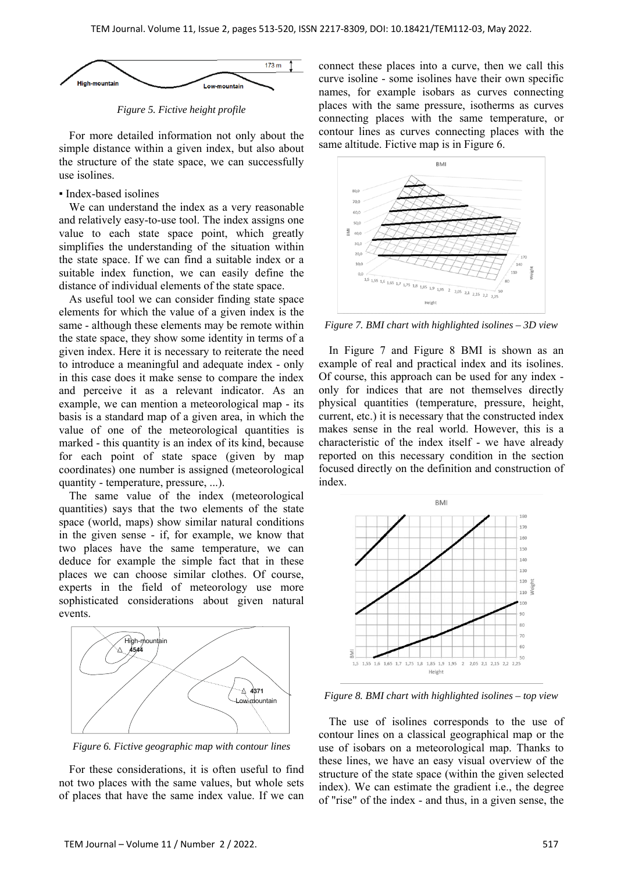

*Figure 5. Fictive height profile* 

For more detailed information not only about the simple distance within a given index, but also about the structure of the state space, we can successfully use isolines.

#### ▪ Index-based isolines

We can understand the index as a very reasonable and relatively easy-to-use tool. The index assigns one value to each state space point, which greatly simplifies the understanding of the situation within the state space. If we can find a suitable index or a suitable index function, we can easily define the distance of individual elements of the state space.

As useful tool we can consider finding state space elements for which the value of a given index is the same - although these elements may be remote within the state space, they show some identity in terms of a given index. Here it is necessary to reiterate the need to introduce a meaningful and adequate index - only in this case does it make sense to compare the index and perceive it as a relevant indicator. As an example, we can mention a meteorological map - its basis is a standard map of a given area, in which the value of one of the meteorological quantities is marked - this quantity is an index of its kind, because for each point of state space (given by map coordinates) one number is assigned (meteorological quantity - temperature, pressure, ...).

The same value of the index (meteorological quantities) says that the two elements of the state space (world, maps) show similar natural conditions in the given sense - if, for example, we know that two places have the same temperature, we can deduce for example the simple fact that in these places we can choose similar clothes. Of course, experts in the field of meteorology use more sophisticated considerations about given natural events.



*Figure 6. Fictive geographic map with contour lines* 

For these considerations, it is often useful to find not two places with the same values, but whole sets of places that have the same index value. If we can connect these places into a curve, then we call this curve isoline - some isolines have their own specific names, for example isobars as curves connecting places with the same pressure, isotherms as curves connecting places with the same temperature, or contour lines as curves connecting places with the same altitude. Fictive map is in Figure 6.



*Figure 7. BMI chart with highlighted isolines – 3D view* 

In Figure 7 and Figure 8 BMI is shown as an example of real and practical index and its isolines. Of course, this approach can be used for any index only for indices that are not themselves directly physical quantities (temperature, pressure, height, current, etc.) it is necessary that the constructed index makes sense in the real world. However, this is a characteristic of the index itself - we have already reported on this necessary condition in the section focused directly on the definition and construction of index.



*Figure 8. BMI chart with highlighted isolines – top view* 

The use of isolines corresponds to the use of contour lines on a classical geographical map or the use of isobars on a meteorological map. Thanks to these lines, we have an easy visual overview of the structure of the state space (within the given selected index). We can estimate the gradient i.e., the degree of "rise" of the index - and thus, in a given sense, the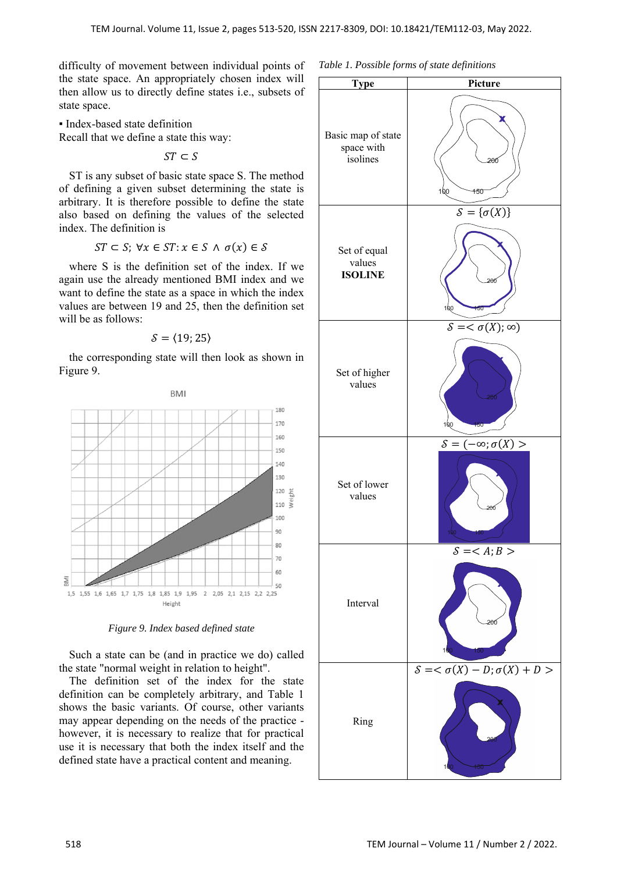difficulty of movement between individual points of the state space. An appropriately chosen index will then allow us to directly define states i.e., subsets of state space.

▪ Index-based state definition Recall that we define a state this way:

 $ST \subset S$ 

ST is any subset of basic state space S. The method of defining a given subset determining the state is arbitrary. It is therefore possible to define the state also based on defining the values of the selected index. The definition is

$$
ST \subset S; \ \forall x \in ST; x \in S \ \land \ \sigma(x) \in S
$$

where S is the definition set of the index. If we again use the already mentioned BMI index and we want to define the state as a space in which the index values are between 19 and 25, then the definition set will be as follows:

 $S = \langle 19; 25 \rangle$ 

the corresponding state will then look as shown in Figure 9.



*Figure 9. Index based defined state* 

Such a state can be (and in practice we do) called the state "normal weight in relation to height".

The definition set of the index for the state definition can be completely arbitrary, and Table 1 shows the basic variants. Of course, other variants may appear depending on the needs of the practice however, it is necessary to realize that for practical use it is necessary that both the index itself and the defined state have a practical content and meaning.



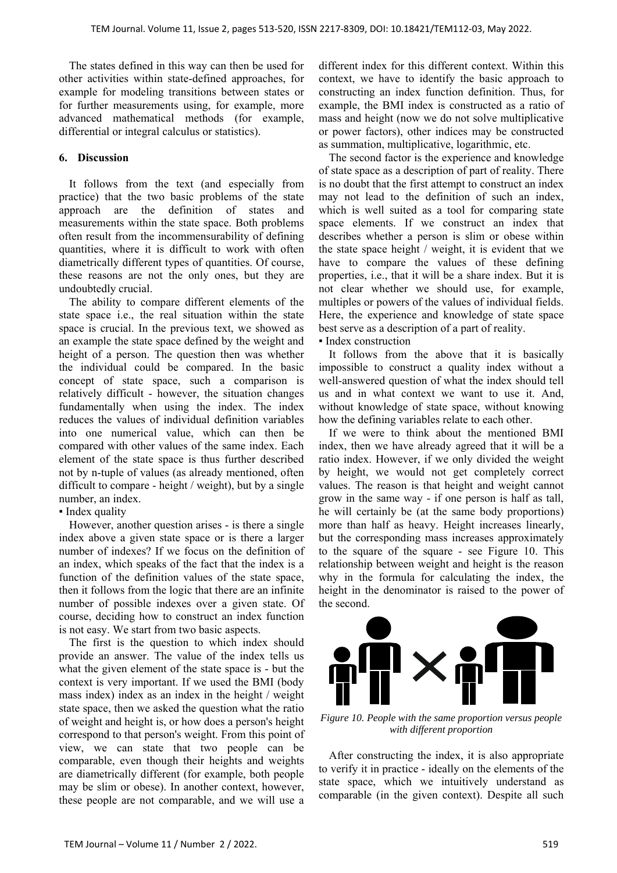The states defined in this way can then be used for other activities within state-defined approaches, for example for modeling transitions between states or for further measurements using, for example, more advanced mathematical methods (for example, differential or integral calculus or statistics).

## **6. Discussion**

It follows from the text (and especially from practice) that the two basic problems of the state approach are the definition of states and measurements within the state space. Both problems often result from the incommensurability of defining quantities, where it is difficult to work with often diametrically different types of quantities. Of course, these reasons are not the only ones, but they are undoubtedly crucial.

The ability to compare different elements of the state space i.e., the real situation within the state space is crucial. In the previous text, we showed as an example the state space defined by the weight and height of a person. The question then was whether the individual could be compared. In the basic concept of state space, such a comparison is relatively difficult - however, the situation changes fundamentally when using the index. The index reduces the values of individual definition variables into one numerical value, which can then be compared with other values of the same index. Each element of the state space is thus further described not by n-tuple of values (as already mentioned, often difficult to compare - height / weight), but by a single number, an index.

## • Index quality

However, another question arises - is there a single index above a given state space or is there a larger number of indexes? If we focus on the definition of an index, which speaks of the fact that the index is a function of the definition values of the state space, then it follows from the logic that there are an infinite number of possible indexes over a given state. Of course, deciding how to construct an index function is not easy. We start from two basic aspects.

The first is the question to which index should provide an answer. The value of the index tells us what the given element of the state space is - but the context is very important. If we used the BMI (body mass index) index as an index in the height / weight state space, then we asked the question what the ratio of weight and height is, or how does a person's height correspond to that person's weight. From this point of view, we can state that two people can be comparable, even though their heights and weights are diametrically different (for example, both people may be slim or obese). In another context, however, these people are not comparable, and we will use a

different index for this different context. Within this context, we have to identify the basic approach to constructing an index function definition. Thus, for example, the BMI index is constructed as a ratio of mass and height (now we do not solve multiplicative or power factors), other indices may be constructed as summation, multiplicative, logarithmic, etc.

The second factor is the experience and knowledge of state space as a description of part of reality. There is no doubt that the first attempt to construct an index may not lead to the definition of such an index, which is well suited as a tool for comparing state space elements. If we construct an index that describes whether a person is slim or obese within the state space height / weight, it is evident that we have to compare the values of these defining properties, i.e., that it will be a share index. But it is not clear whether we should use, for example, multiples or powers of the values of individual fields. Here, the experience and knowledge of state space best serve as a description of a part of reality.

▪ Index construction

It follows from the above that it is basically impossible to construct a quality index without a well-answered question of what the index should tell us and in what context we want to use it. And, without knowledge of state space, without knowing how the defining variables relate to each other.

If we were to think about the mentioned BMI index, then we have already agreed that it will be a ratio index. However, if we only divided the weight by height, we would not get completely correct values. The reason is that height and weight cannot grow in the same way - if one person is half as tall, he will certainly be (at the same body proportions) more than half as heavy. Height increases linearly, but the corresponding mass increases approximately to the square of the square - see Figure 10. This relationship between weight and height is the reason why in the formula for calculating the index, the height in the denominator is raised to the power of the second.



*Figure 10. People with the same proportion versus people with different proportion* 

After constructing the index, it is also appropriate to verify it in practice - ideally on the elements of the state space, which we intuitively understand as comparable (in the given context). Despite all such